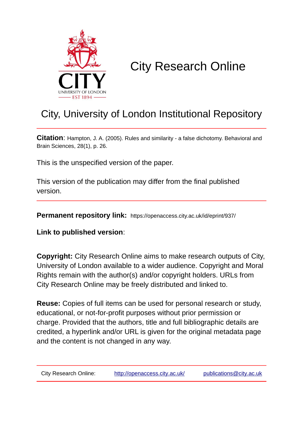

# City Research Online

## City, University of London Institutional Repository

**Citation**: Hampton, J. A. (2005). Rules and similarity - a false dichotomy. Behavioral and Brain Sciences, 28(1), p. 26.

This is the unspecified version of the paper.

This version of the publication may differ from the final published version.

**Permanent repository link:** https://openaccess.city.ac.uk/id/eprint/937/

**Link to published version**:

**Copyright:** City Research Online aims to make research outputs of City, University of London available to a wider audience. Copyright and Moral Rights remain with the author(s) and/or copyright holders. URLs from City Research Online may be freely distributed and linked to.

**Reuse:** Copies of full items can be used for personal research or study, educational, or not-for-profit purposes without prior permission or charge. Provided that the authors, title and full bibliographic details are credited, a hyperlink and/or URL is given for the original metadata page and the content is not changed in any way.